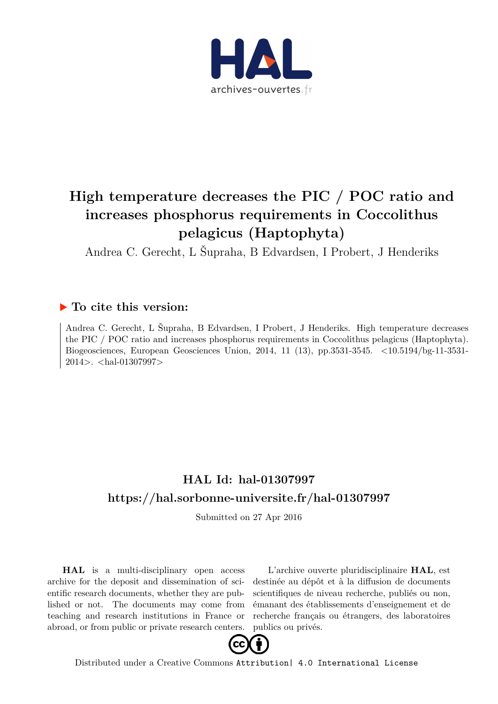

# **High temperature decreases the PIC / POC ratio and increases phosphorus requirements in Coccolithus pelagicus (Haptophyta)**

Andrea C. Gerecht, L Šupraha, B Edvardsen, I Probert, J Henderiks

# **To cite this version:**

Andrea C. Gerecht, L Šupraha, B Edvardsen, I Probert, J Henderiks. High temperature decreases the PIC / POC ratio and increases phosphorus requirements in Coccolithus pelagicus (Haptophyta). Biogeosciences, European Geosciences Union, 2014, 11 (13), pp.3531-3545. <10.5194/bg-11-3531- 2014>. <hal-01307997>

# **HAL Id: hal-01307997 <https://hal.sorbonne-universite.fr/hal-01307997>**

Submitted on 27 Apr 2016

**HAL** is a multi-disciplinary open access archive for the deposit and dissemination of scientific research documents, whether they are published or not. The documents may come from teaching and research institutions in France or abroad, or from public or private research centers.

L'archive ouverte pluridisciplinaire **HAL**, est destinée au dépôt et à la diffusion de documents scientifiques de niveau recherche, publiés ou non, émanant des établissements d'enseignement et de recherche français ou étrangers, des laboratoires publics ou privés.



Distributed under a Creative Commons [Attribution| 4.0 International License](http://creativecommons.org/licenses/by/4.0/)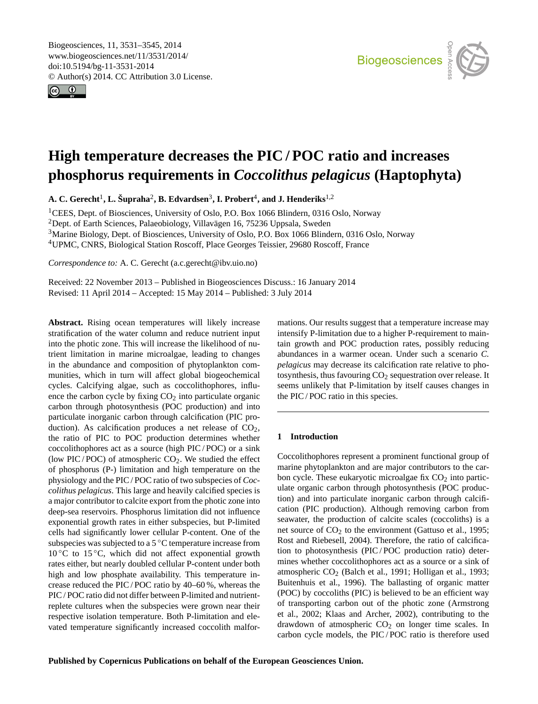<span id="page-1-0"></span>Biogeosciences, 11, 3531–3545, 2014 www.biogeosciences.net/11/3531/2014/ doi:10.5194/bg-11-3531-2014 © Author(s) 2014. CC Attribution 3.0 License.





# **High temperature decreases the PIC / POC ratio and increases phosphorus requirements in** *Coccolithus pelagicus* **(Haptophyta)**

 $\mathbf{A. C. Gerecht}^1, \mathbf{L. \ \mathbf{\check{S}upraha}^2, \mathbf{B. \ \mathbf{Edvardsen}^3, \mathbf{I. \ Probert}^4, \mathbf{and \ J. \ } \mathbf{H} \mathbf{enderiks}^{1,2}}$ 

CEES, Dept. of Biosciences, University of Oslo, P.O. Box 1066 Blindern, 0316 Oslo, Norway <sup>2</sup>Dept. of Earth Sciences, Palaeobiology, Villavägen 16, 75236 Uppsala, Sweden Marine Biology, Dept. of Biosciences, University of Oslo, P.O. Box 1066 Blindern, 0316 Oslo, Norway UPMC, CNRS, Biological Station Roscoff, Place Georges Teissier, 29680 Roscoff, France

*Correspondence to:* A. C. Gerecht (a.c.gerecht@ibv.uio.no)

Received: 22 November 2013 – Published in Biogeosciences Discuss.: 16 January 2014 Revised: 11 April 2014 – Accepted: 15 May 2014 – Published: 3 July 2014

**Abstract.** Rising ocean temperatures will likely increase stratification of the water column and reduce nutrient input into the photic zone. This will increase the likelihood of nutrient limitation in marine microalgae, leading to changes in the abundance and composition of phytoplankton communities, which in turn will affect global biogeochemical cycles. Calcifying algae, such as coccolithophores, influence the carbon cycle by fixing  $CO<sub>2</sub>$  into particulate organic carbon through photosynthesis (POC production) and into particulate inorganic carbon through calcification (PIC production). As calcification produces a net release of  $CO<sub>2</sub>$ , the ratio of PIC to POC production determines whether coccolithophores act as a source (high PIC / POC) or a sink (low PIC/POC) of atmospheric  $CO<sub>2</sub>$ . We studied the effect of phosphorus (P-) limitation and high temperature on the physiology and the PIC / POC ratio of two subspecies of *Coccolithus pelagicus*. This large and heavily calcified species is a major contributor to calcite export from the photic zone into deep-sea reservoirs. Phosphorus limitation did not influence exponential growth rates in either subspecies, but P-limited cells had significantly lower cellular P-content. One of the subspecies was subjected to a 5 ◦C temperature increase from  $10\degree$ C to  $15\degree$ C, which did not affect exponential growth rates either, but nearly doubled cellular P-content under both high and low phosphate availability. This temperature increase reduced the PIC / POC ratio by 40–60 %, whereas the PIC / POC ratio did not differ between P-limited and nutrientreplete cultures when the subspecies were grown near their respective isolation temperature. Both P-limitation and elevated temperature significantly increased coccolith malformations. Our results suggest that a temperature increase may intensify P-limitation due to a higher P-requirement to maintain growth and POC production rates, possibly reducing abundances in a warmer ocean. Under such a scenario *C. pelagicus* may decrease its calcification rate relative to photosynthesis, thus favouring  $CO<sub>2</sub>$  sequestration over release. It seems unlikely that P-limitation by itself causes changes in the PIC / POC ratio in this species.

## **1 Introduction**

Coccolithophores represent a prominent functional group of marine phytoplankton and are major contributors to the carbon cycle. These eukaryotic microalgae fix  $CO<sub>2</sub>$  into particulate organic carbon through photosynthesis (POC production) and into particulate inorganic carbon through calcification (PIC production). Although removing carbon from seawater, the production of calcite scales (coccoliths) is a net source of  $CO<sub>2</sub>$  to the environment (Gattuso et al., 1995; Rost and Riebesell, 2004). Therefore, the ratio of calcification to photosynthesis (PIC/POC production ratio) determines whether coccolithophores act as a source or a sink of atmospheric  $CO<sub>2</sub>$  (Balch et al., 1991; Holligan et al., 1993; Buitenhuis et al., 1996). The ballasting of organic matter (POC) by coccoliths (PIC) is believed to be an efficient way of transporting carbon out of the photic zone (Armstrong et al., 2002; Klaas and Archer, 2002), contributing to the drawdown of atmospheric  $CO<sub>2</sub>$  on longer time scales. In carbon cycle models, the PIC / POC ratio is therefore used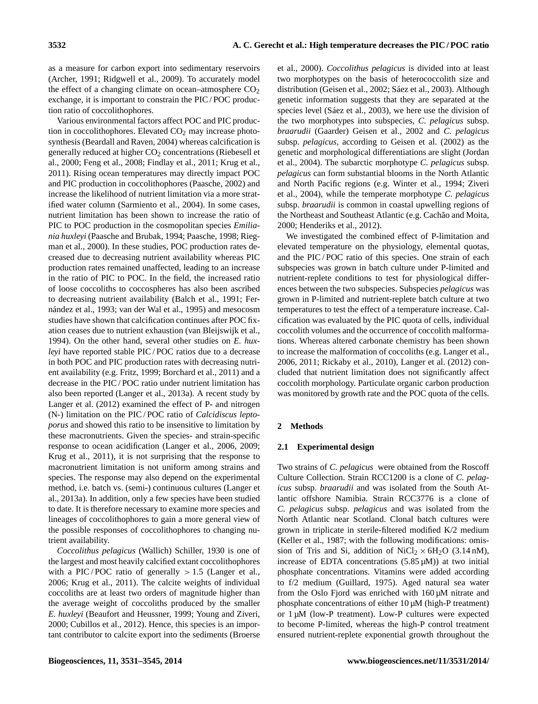as a measure for carbon export into sedimentary reservoirs (Archer, 1991; Ridgwell et al., 2009). To accurately model the effect of a changing climate on ocean–atmosphere  $CO<sub>2</sub>$ exchange, it is important to constrain the PIC / POC production ratio of coccolithophores.

Various environmental factors affect POC and PIC production in coccolithophores. Elevated  $CO<sub>2</sub>$  may increase photosynthesis (Beardall and Raven, 2004) whereas calcification is generally reduced at higher  $CO<sub>2</sub>$  concentrations (Riebesell et al., 2000; Feng et al., 2008; Findlay et al., 2011; Krug et al., 2011). Rising ocean temperatures may directly impact POC and PIC production in coccolithophores (Paasche, 2002) and increase the likelihood of nutrient limitation via a more stratified water column (Sarmiento et al., 2004). In some cases, nutrient limitation has been shown to increase the ratio of PIC to POC production in the cosmopolitan species *Emiliania huxleyi* (Paasche and Brubak, 1994; Paasche, 1998; Riegman et al., 2000). In these studies, POC production rates decreased due to decreasing nutrient availability whereas PIC production rates remained unaffected, leading to an increase in the ratio of PIC to POC. In the field, the increased ratio of loose coccoliths to coccospheres has also been ascribed to decreasing nutrient availability (Balch et al., 1991; Fernández et al., 1993; van der Wal et al., 1995) and mesocosm studies have shown that calcification continues after POC fixation ceases due to nutrient exhaustion (van Bleijswijk et al., 1994). On the other hand, several other studies on *E. huxleyi* have reported stable PIC / POC ratios due to a decrease in both POC and PIC production rates with decreasing nutrient availability (e.g. Fritz, 1999; Borchard et al., 2011) and a decrease in the PIC / POC ratio under nutrient limitation has also been reported (Langer et al., 2013a). A recent study by Langer et al. (2012) examined the effect of P- and nitrogen (N-) limitation on the PIC / POC ratio of *Calcidiscus leptoporus* and showed this ratio to be insensitive to limitation by these macronutrients. Given the species- and strain-specific response to ocean acidification (Langer et al., 2006, 2009; Krug et al., 2011), it is not surprising that the response to macronutrient limitation is not uniform among strains and species. The response may also depend on the experimental method, i.e. batch vs. (semi-) continuous cultures (Langer et al., 2013a). In addition, only a few species have been studied to date. It is therefore necessary to examine more species and lineages of coccolithophores to gain a more general view of the possible responses of coccolithophores to changing nutrient availability.

*Coccolithus pelagicus* (Wallich) Schiller, 1930 is one of the largest and most heavily calcified extant coccolithophores with a PIC/POC ratio of generally  $> 1.5$  (Langer et al., 2006; Krug et al., 2011). The calcite weights of individual coccoliths are at least two orders of magnitude higher than the average weight of coccoliths produced by the smaller *E. huxleyi* (Beaufort and Heussner, 1999; Young and Ziveri, 2000; Cubillos et al., 2012). Hence, this species is an important contributor to calcite export into the sediments (Broerse et al., 2000). *Coccolithus pelagicus* is divided into at least two morphotypes on the basis of heterococcolith size and distribution (Geisen et al., 2002; Sáez et al., 2003). Although genetic information suggests that they are separated at the species level (Sáez et al., 2003), we here use the division of the two morphotypes into subspecies, *C. pelagicus* subsp. *braarudii* (Gaarder) Geisen et al., 2002 and *C. pelagicus* subsp. *pelagicus*, according to Geisen et al. (2002) as the genetic and morphological differentiations are slight (Jordan et al., 2004). The subarctic morphotype *C. pelagicus* subsp. *pelagicus* can form substantial blooms in the North Atlantic and North Pacific regions (e.g. Winter et al., 1994; Ziveri et al., 2004), while the temperate morphotype *C. pelagicus* subsp. *braarudii* is common in coastal upwelling regions of the Northeast and Southeast Atlantic (e.g. Cachão and Moita, 2000; Henderiks et al., 2012).

We investigated the combined effect of P-limitation and elevated temperature on the physiology, elemental quotas, and the PIC / POC ratio of this species. One strain of each subspecies was grown in batch culture under P-limited and nutrient-replete conditions to test for physiological differences between the two subspecies. Subspecies *pelagicus* was grown in P-limited and nutrient-replete batch culture at two temperatures to test the effect of a temperature increase. Calcification was evaluated by the PIC quota of cells, individual coccolith volumes and the occurrence of coccolith malformations. Whereas altered carbonate chemistry has been shown to increase the malformation of coccoliths (e.g. Langer et al., 2006, 2011; Rickaby et al., 2010), Langer et al. (2012) concluded that nutrient limitation does not significantly affect coccolith morphology. Particulate organic carbon production was monitored by growth rate and the POC quota of the cells.

# **2 Methods**

## **2.1 Experimental design**

Two strains of *C. pelagicus* were obtained from the Roscoff Culture Collection. Strain RCC1200 is a clone of *C. pelagicus* subsp. *braarudii* and was isolated from the South Atlantic offshore Namibia. Strain RCC3776 is a clone of *C. pelagicus* subsp. *pelagicus* and was isolated from the North Atlantic near Scotland. Clonal batch cultures were grown in triplicate in sterile-filtered modified K/2 medium (Keller et al., 1987; with the following modifications: omission of Tris and Si, addition of NiCl<sub>2</sub>  $\times$  6H<sub>2</sub>O (3.14 nM), increase of EDTA concentrations (5.85 µM)) at two initial phosphate concentrations. Vitamins were added according to f/2 medium (Guillard, 1975). Aged natural sea water from the Oslo Fjord was enriched with 160 µM nitrate and phosphate concentrations of either  $10 \mu M$  (high-P treatment) or 1 µM (low-P treatment). Low-P cultures were expected to become P-limited, whereas the high-P control treatment ensured nutrient-replete exponential growth throughout the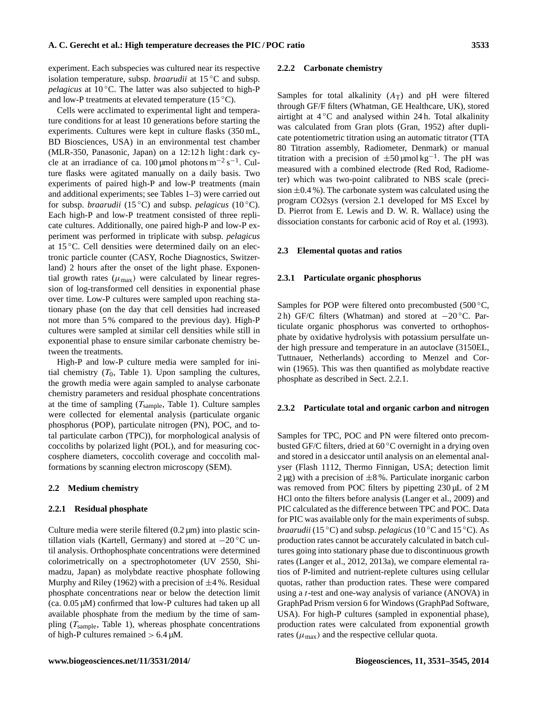experiment. Each subspecies was cultured near its respective isolation temperature, subsp. *braarudii* at 15 ◦C and subsp. *pelagicus* at 10 °C. The latter was also subjected to high-P and low-P treatments at elevated temperature  $(15 \degree C)$ .

Cells were acclimated to experimental light and temperature conditions for at least 10 generations before starting the experiments. Cultures were kept in culture flasks (350 mL, BD Biosciences, USA) in an environmental test chamber (MLR-350, Panasonic, Japan) on a 12:12 h light : dark cycle at an irradiance of ca.  $100 \mu$ mol photons m<sup>-2</sup> s<sup>-1</sup>. Culture flasks were agitated manually on a daily basis. Two experiments of paired high-P and low-P treatments (main and additional experiments; see Tables 1–3) were carried out for subsp. *braarudii* (15 ◦C) and subsp. *pelagicus* (10 ◦C). Each high-P and low-P treatment consisted of three replicate cultures. Additionally, one paired high-P and low-P experiment was performed in triplicate with subsp. *pelagicus* at 15 ◦C. Cell densities were determined daily on an electronic particle counter (CASY, Roche Diagnostics, Switzerland) 2 hours after the onset of the light phase. Exponential growth rates  $(\mu_{\text{max}})$  were calculated by linear regression of log-transformed cell densities in exponential phase over time. Low-P cultures were sampled upon reaching stationary phase (on the day that cell densities had increased not more than 5 % compared to the previous day). High-P cultures were sampled at similar cell densities while still in exponential phase to ensure similar carbonate chemistry between the treatments.

High-P and low-P culture media were sampled for initial chemistry  $(T_0,$  Table 1). Upon sampling the cultures, the growth media were again sampled to analyse carbonate chemistry parameters and residual phosphate concentrations at the time of sampling  $(T_{sample},$  Table 1). Culture samples were collected for elemental analysis (particulate organic phosphorus (POP), particulate nitrogen (PN), POC, and total particulate carbon (TPC)), for morphological analysis of coccoliths by polarized light (POL), and for measuring coccosphere diameters, coccolith coverage and coccolith malformations by scanning electron microscopy (SEM).

#### **2.2 Medium chemistry**

#### **2.2.1 Residual phosphate**

Culture media were sterile filtered  $(0.2 \mu m)$  into plastic scintillation vials (Kartell, Germany) and stored at  $-20$  °C until analysis. Orthophosphate concentrations were determined colorimetrically on a spectrophotometer (UV 2550, Shimadzu, Japan) as molybdate reactive phosphate following Murphy and Riley (1962) with a precision of  $\pm$ 4 %. Residual phosphate concentrations near or below the detection limit  $(ca. 0.05 \mu M)$  confirmed that low-P cultures had taken up all available phosphate from the medium by the time of sampling  $(T_{sample},$  Table 1), whereas phosphate concentrations of high-P cultures remained  $> 6.4 \mu M$ .

#### **2.2.2 Carbonate chemistry**

Samples for total alkalinity  $(A_T)$  and pH were filtered through GF/F filters (Whatman, GE Healthcare, UK), stored airtight at  $4\degree$ C and analysed within 24 h. Total alkalinity was calculated from Gran plots (Gran, 1952) after duplicate potentiometric titration using an automatic titrator (TTA 80 Titration assembly, Radiometer, Denmark) or manual titration with a precision of  $\pm 50 \mu$ mol kg<sup>-1</sup>. The pH was measured with a combined electrode (Red Rod, Radiometer) which was two-point calibrated to NBS scale (precision  $\pm 0.4$  %). The carbonate system was calculated using the program CO2sys (version 2.1 developed for MS Excel by D. Pierrot from E. Lewis and D. W. R. Wallace) using the dissociation constants for carbonic acid of Roy et al. (1993).

#### **2.3 Elemental quotas and ratios**

#### **2.3.1 Particulate organic phosphorus**

Samples for POP were filtered onto precombusted (500 $\degree$ C, 2 h) GF/C filters (Whatman) and stored at −20 ◦C. Particulate organic phosphorus was converted to orthophosphate by oxidative hydrolysis with potassium persulfate under high pressure and temperature in an autoclave (3150EL, Tuttnauer, Netherlands) according to Menzel and Corwin (1965). This was then quantified as molybdate reactive phosphate as described in Sect. 2.2.1.

#### **2.3.2 Particulate total and organic carbon and nitrogen**

Samples for TPC, POC and PN were filtered onto precombusted GF/C filters, dried at 60 ◦C overnight in a drying oven and stored in a desiccator until analysis on an elemental analyser (Flash 1112, Thermo Finnigan, USA; detection limit  $2 \mu$ g) with a precision of  $\pm 8$ %. Particulate inorganic carbon was removed from POC filters by pipetting  $230 \mu L$  of 2 M HCl onto the filters before analysis (Langer et al., 2009) and PIC calculated as the difference between TPC and POC. Data for PIC was available only for the main experiments of subsp. *braarudii* (15 ◦C) and subsp. *pelagicus* (10 ◦C and 15 ◦C). As production rates cannot be accurately calculated in batch cultures going into stationary phase due to discontinuous growth rates (Langer et al., 2012, 2013a), we compare elemental ratios of P-limited and nutrient-replete cultures using cellular quotas, rather than production rates. These were compared using a t-test and one-way analysis of variance (ANOVA) in GraphPad Prism version 6 for Windows (GraphPad Software, USA). For high-P cultures (sampled in exponential phase), production rates were calculated from exponential growth rates  $(\mu_{\text{max}})$  and the respective cellular quota.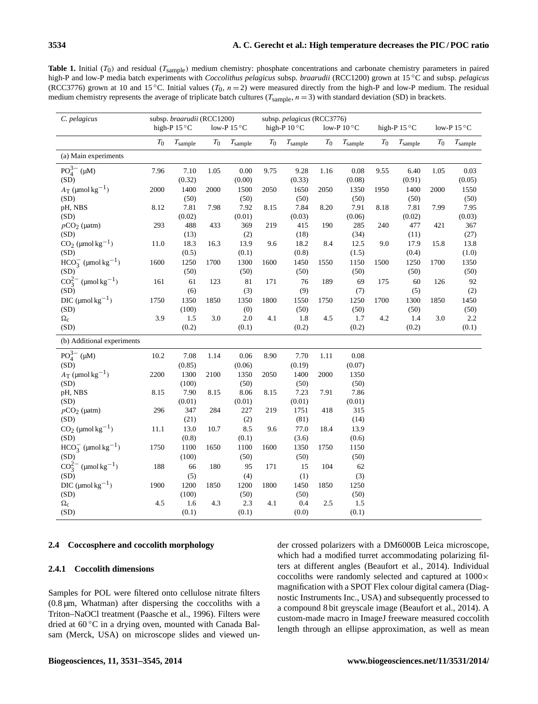**Table 1.** Initial  $(T_0)$  and residual  $(T_{sample})$  medium chemistry: phosphate concentrations and carbonate chemistry parameters in paired high-P and low-P media batch experiments with *Coccolithus pelagicus* subsp. *braarudii* (RCC1200) grown at 15 ◦C and subsp. *pelagicus* (RCC3776) grown at 10 and 15 °C. Initial values  $(T_0, n = 2)$  were measured directly from the high-P and low-P medium. The residual medium chemistry represents the average of triplicate batch cultures ( $T_{sample}$ ,  $n = 3$ ) with standard deviation (SD) in brackets.

| C. pelagicus                         |       | high-P $15^{\circ}$ C | subsp. braarudii (RCC1200)<br>low-P $15^{\circ}$ C |                  | subsp. pelagicus (RCC3776)<br>high-P $10^{\circ}$ C |                     | low-P $10^{\circ}$ C |                     | high-P 15 °C |                     | low-P $15^{\circ}$ C |                     |
|--------------------------------------|-------|-----------------------|----------------------------------------------------|------------------|-----------------------------------------------------|---------------------|----------------------|---------------------|--------------|---------------------|----------------------|---------------------|
|                                      | $T_0$ | $T_{\rm sample}$      | $T_0$                                              | $T_{\rm sample}$ | $T_{\rm 0}$                                         | $T_{\text{sample}}$ | $T_0$                | $T_{\text{sample}}$ | $T_0$        | $T_{\text{sample}}$ | $T_0$                | $T_{\text{sample}}$ |
| (a) Main experiments                 |       |                       |                                                    |                  |                                                     |                     |                      |                     |              |                     |                      |                     |
| $PO_{4}^{3-}$ (µM)                   | 7.96  | 7.10                  | 1.05                                               | 0.00             | 9.75                                                | 9.28                | 1.16                 | 0.08                | 9.55         | 6.40                | 1.05                 | 0.03                |
| (SD)                                 |       | (0.32)                |                                                    | (0.00)           |                                                     | (0.33)              |                      | (0.08)              |              | (0.91)              |                      | (0.05)              |
| $A_T$ (µmol kg <sup>-1</sup> )       | 2000  | 1400                  | 2000                                               | 1500             | 2050                                                | 1650                | 2050                 | 1350                | 1950         | 1400                | 2000                 | 1550                |
| (SD)                                 |       | (50)                  |                                                    | (50)             |                                                     | (50)                |                      | (50)                |              | (50)                |                      | (50)                |
| pH, NBS                              | 8.12  | 7.81                  | 7.98                                               | 7.92             | 8.15                                                | 7.84                | 8.20                 | 7.91                | 8.18         | 7.81                | 7.99                 | 7.95                |
| (SD)                                 |       | (0.02)                |                                                    | (0.01)           |                                                     | (0.03)              |                      | (0.06)              |              | (0.02)              |                      | (0.03)              |
| $pCO2$ (µatm)                        | 293   | 488                   | 433                                                | 369              | 219                                                 | 415                 | 190                  | 285                 | 240          | 477                 | 421                  | 367                 |
| (SD)                                 |       | (13)                  |                                                    | (2)              |                                                     | (18)                |                      | (34)                |              | (11)                |                      | (27)                |
| $CO2$ (µmol kg <sup>-1</sup> )       | 11.0  | 18.3                  | 16.3                                               | 13.9             | 9.6                                                 | 18.2                | 8.4                  | 12.5                | 9.0          | 17.9                | 15.8                 | 13.8                |
| (SD)                                 |       | (0.5)                 |                                                    | (0.1)            |                                                     | (0.8)               |                      | (1.5)               |              | (0.4)               |                      | (1.0)               |
| $HCO_3^-$ (µmol kg <sup>-1</sup> )   | 1600  | 1250                  | 1700                                               | 1300             | 1600                                                | 1450                | 1550                 | 1150                | 1500         | 1250                | 1700                 | 1350                |
| (SD)                                 |       | (50)                  |                                                    | (50)             |                                                     | (50)                |                      | (50)                |              | (50)                |                      | (50)                |
| $CO_3^{2-}$ (µmol kg <sup>-1</sup> ) | 161   | 61                    | 123                                                | 81               | 171                                                 | 76                  | 189                  | 69                  | 175          | 60                  | 126                  | 92                  |
| (SD)                                 |       | (6)                   |                                                    | (3)              |                                                     | (9)                 |                      | (7)                 |              | (5)                 |                      | (2)                 |
| DIC ( $\mu$ mol kg <sup>-1</sup> )   | 1750  | 1350                  | 1850                                               | 1350             | 1800                                                | 1550                | 1750                 | 1250                | 1700         | 1300                | 1850                 | 1450                |
| (SD)                                 |       | (100)                 |                                                    | (0)              |                                                     | (50)                |                      | (50)                |              | (50)                |                      | (50)                |
| $\Omega_{\rm C}$                     | 3.9   | 1.5                   | 3.0                                                | 2.0              | 4.1                                                 | 1.8                 | 4.5                  | 1.7                 | 4.2          | 1.4                 | 3.0                  | 2.2                 |
| (SD)                                 |       | (0.2)                 |                                                    | (0.1)            |                                                     | (0.2)               |                      | (0.2)               |              | (0.2)               |                      | (0.1)               |
| (b) Additional experiments           |       |                       |                                                    |                  |                                                     |                     |                      |                     |              |                     |                      |                     |
| $PO_4^{3-}$ (µM)                     | 10.2  | 7.08                  | 1.14                                               | 0.06             | 8.90                                                | 7.70                | 1.11                 | $0.08\,$            |              |                     |                      |                     |
| (SD)                                 |       | (0.85)                |                                                    | (0.06)           |                                                     | (0.19)              |                      | (0.07)              |              |                     |                      |                     |
| $A_T$ (µmol kg <sup>-1</sup> )       | 2200  | 1300                  | 2100                                               | 1350             | 2050                                                | 1400                | 2000                 | 1350                |              |                     |                      |                     |
| (SD)                                 |       | (100)                 |                                                    | (50)             |                                                     | (50)                |                      | (50)                |              |                     |                      |                     |
| pH, NBS                              | 8.15  | 7.90                  | 8.15                                               | 8.06             | 8.15                                                | 7.23                | 7.91                 | 7.86                |              |                     |                      |                     |
| (SD)                                 |       | (0.01)                |                                                    | (0.01)           |                                                     | (0.01)              |                      | (0.01)              |              |                     |                      |                     |
| $pCO2$ (µatm)                        | 296   | 347                   | 284                                                | 227              | 219                                                 | 1751                | 418                  | 315                 |              |                     |                      |                     |
| (SD)                                 |       | (21)                  |                                                    | (2)              |                                                     | (81)                |                      | (14)                |              |                     |                      |                     |
| $CO2$ (µmol kg <sup>-1</sup> )       | 11.1  | 13.0                  | 10.7                                               | 8.5              | 9.6                                                 | 77.0                | 18.4                 | 13.9                |              |                     |                      |                     |
| (SD)                                 |       | (0.8)                 |                                                    | (0.1)            |                                                     | (3.6)               |                      | (0.6)               |              |                     |                      |                     |
| $HCO_3^-$ (µmol kg <sup>-1</sup> )   | 1750  | 1100                  | 1650                                               | 1100             | 1600                                                | 1350                | 1750                 | 1150                |              |                     |                      |                     |
| (SD)                                 |       | (100)                 |                                                    | (50)             |                                                     | (50)                |                      | (50)                |              |                     |                      |                     |
| $CO_3^{2-}$ (µmol kg <sup>-1</sup> ) | 188   | 66                    | 180                                                | 95               | 171                                                 | 15                  | 104                  | 62                  |              |                     |                      |                     |
| (SD)                                 |       | (5)                   |                                                    | (4)              |                                                     | (1)                 |                      | (3)                 |              |                     |                      |                     |
| DIC ( $\mu$ mol kg <sup>-1</sup> )   | 1900  | 1200                  | 1850                                               | 1200             | 1800                                                | 1450                | 1850                 | 1250                |              |                     |                      |                     |
| (SD)                                 |       | (100)                 |                                                    | (50)             |                                                     | (50)                |                      | (50)                |              |                     |                      |                     |
| $\Omega_{\rm C}$                     | 4.5   | 1.6                   | 4.3                                                | 2.3              | 4.1                                                 | 0.4                 | 2.5                  | 1.5                 |              |                     |                      |                     |
| (SD)                                 |       | (0.1)                 |                                                    | (0.1)            |                                                     | (0.0)               |                      | (0.1)               |              |                     |                      |                     |

#### **2.4 Coccosphere and coccolith morphology**

#### **2.4.1 Coccolith dimensions**

Samples for POL were filtered onto cellulose nitrate filters  $(0.8 \,\mu m,$  Whatman) after dispersing the coccoliths with a Triton–NaOCl treatment (Paasche et al., 1996). Filters were dried at 60 ◦C in a drying oven, mounted with Canada Balsam (Merck, USA) on microscope slides and viewed under crossed polarizers with a DM6000B Leica microscope, which had a modified turret accommodating polarizing filters at different angles (Beaufort et al., 2014). Individual coccoliths were randomly selected and captured at 1000× magnification with a SPOT Flex colour digital camera (Diagnostic Instruments Inc., USA) and subsequently processed to a compound 8 bit greyscale image (Beaufort et al., 2014). A custom-made macro in ImageJ freeware measured coccolith length through an ellipse approximation, as well as mean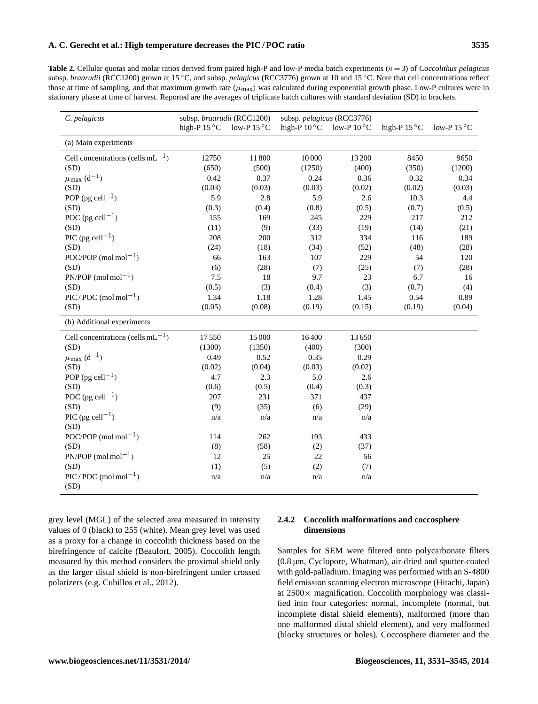**Table 2.** Cellular quotas and molar ratios derived from paired high-P and low-P media batch experiments (n = 3) of *Coccolithus pelagicus* subsp. *braarudii* (RCC1200) grown at 15 ◦C, and subsp. *pelagicus* (RCC3776) grown at 10 and 15 ◦C. Note that cell concentrations reflect those at time of sampling, and that maximum growth rate  $(\mu_{\text{max}})$  was calculated during exponential growth phase. Low-P cultures were in stationary phase at time of harvest. Reported are the averages of triplicate batch cultures with standard deviation (SD) in brackets.

| C. pelagicus                                       | subsp. braarudii (RCC1200) |                      |                       | subsp. pelagicus (RCC3776) |                       |                      |
|----------------------------------------------------|----------------------------|----------------------|-----------------------|----------------------------|-----------------------|----------------------|
|                                                    | high-P $15^{\circ}$ C      | low-P $15^{\circ}$ C | high-P $10^{\circ}$ C | low-P $10^{\circ}$ C       | high-P $15^{\circ}$ C | low-P $15^{\circ}$ C |
| (a) Main experiments                               |                            |                      |                       |                            |                       |                      |
| Cell concentrations (cells $mL^{-1}$ )             | 12750                      | 11800                | 10 000                | 13 200                     | 8450                  | 9650                 |
| (SD)                                               | (650)                      | (500)                | (1250)                | (400)                      | (350)                 | (1200)               |
| $\mu_{\text{max}}$ (d <sup>-1</sup> )              | 0.42                       | 0.37                 | 0.24                  | 0.36                       | 0.32                  | 0.34                 |
| (SD)                                               | (0.03)                     | (0.03)               | (0.03)                | (0.02)                     | (0.02)                | (0.03)               |
| POP (pg cell <sup>-1</sup> )                       | 5.9                        | 2.8                  | 5.9                   | 2.6                        | 10.3                  | 4.4                  |
| (SD)                                               | (0.3)                      | (0.4)                | (0.8)                 | (0.5)                      | (0.7)                 | (0.5)                |
| POC (pg cell <sup>-1</sup> )                       | 155                        | 169                  | 245                   | 229                        | 217                   | 212                  |
| (SD)                                               | (11)                       | (9)                  | (33)                  | (19)                       | (14)                  | (21)                 |
| PIC (pg cell <sup>-1</sup> )                       | 208                        | 200                  | 312                   | 334                        | 116                   | 189                  |
| (SD)                                               | (24)                       | (18)                 | (34)                  | (52)                       | (48)                  | (28)                 |
| POC/POP (mol mol <sup>-1</sup> )                   | 66                         | 163                  | 107                   | 229                        | 54                    | 120                  |
| (SD)                                               | (6)                        | (28)                 | (7)                   | (25)                       | (7)                   | (28)                 |
| $PN/POP \ (mol \ mol^{-1})$                        | 7.5                        | 18                   | 9.7                   | 23                         | 6.7                   | 16                   |
| (SD)                                               | (0.5)                      | (3)                  | (0.4)                 | (3)                        | (0.7)                 | (4)                  |
| $\text{PIC} / \text{POC}$ (mol mol <sup>-1</sup> ) | 1.34                       | 1.18                 | 1.28                  | 1.45                       | 0.54                  | 0.89                 |
| (SD)                                               | (0.05)                     | (0.08)               | (0.19)                | (0.15)                     | (0.19)                | (0.04)               |
| (b) Additional experiments                         |                            |                      |                       |                            |                       |                      |
| Cell concentrations (cells $mL^{-1}$ )             | 17550                      | 15 000               | 16400                 | 13650                      |                       |                      |
| (SD)                                               | (1300)                     | (1350)               | (400)                 | (300)                      |                       |                      |
| $\mu_{\text{max}}$ (d <sup>-1</sup> )              | 0.49                       | 0.52                 | 0.35                  | 0.29                       |                       |                      |
| (SD)                                               | (0.02)                     | (0.04)               | (0.03)                | (0.02)                     |                       |                      |
| POP (pg cell <sup>-1</sup> )                       | 4.7                        | 2.3                  | 5.0                   | 2.6                        |                       |                      |
| (SD)                                               | (0.6)                      | (0.5)                | (0.4)                 | (0.3)                      |                       |                      |
| POC (pg cell <sup>-1</sup> )                       | 207                        | 231                  | 371                   | 437                        |                       |                      |
| (SD)                                               | (9)                        | (35)                 | (6)                   | (29)                       |                       |                      |
| PIC (pg cell <sup>-1</sup> )                       | n/a                        | n/a                  | n/a                   | n/a                        |                       |                      |
| (SD)                                               |                            |                      |                       |                            |                       |                      |
| POC/POP (mol mol <sup>-1</sup> )                   | 114                        | 262                  | 193                   | 433                        |                       |                      |
| (SD)                                               | (8)                        | (58)                 | (2)                   | (37)                       |                       |                      |
| $PN/POP \text{ (mol mol}^{-1})$                    | 12                         | 25                   | 22                    | 56                         |                       |                      |
| (SD)                                               | (1)                        | (5)                  | (2)                   | (7)                        |                       |                      |
| $\text{PIC} / \text{POC}$ (mol mol <sup>-1</sup> ) | n/a                        | n/a                  | n/a                   | n/a                        |                       |                      |
| (SD)                                               |                            |                      |                       |                            |                       |                      |

grey level (MGL) of the selected area measured in intensity values of 0 (black) to 255 (white). Mean grey level was used as a proxy for a change in coccolith thickness based on the birefringence of calcite (Beaufort, 2005). Coccolith length measured by this method considers the proximal shield only as the larger distal shield is non-birefringent under crossed polarizers (e.g. Cubillos et al., 2012).

# **2.4.2 Coccolith malformations and coccosphere dimensions**

Samples for SEM were filtered onto polycarbonate filters (0.8 µm, Cyclopore, Whatman), air-dried and sputter-coated with gold-palladium. Imaging was performed with an S-4800 field emission scanning electron microscope (Hitachi, Japan) at  $2500 \times$  magnification. Coccolith morphology was classified into four categories: normal, incomplete (normal, but incomplete distal shield elements), malformed (more than one malformed distal shield element), and very malformed (blocky structures or holes). Coccosphere diameter and the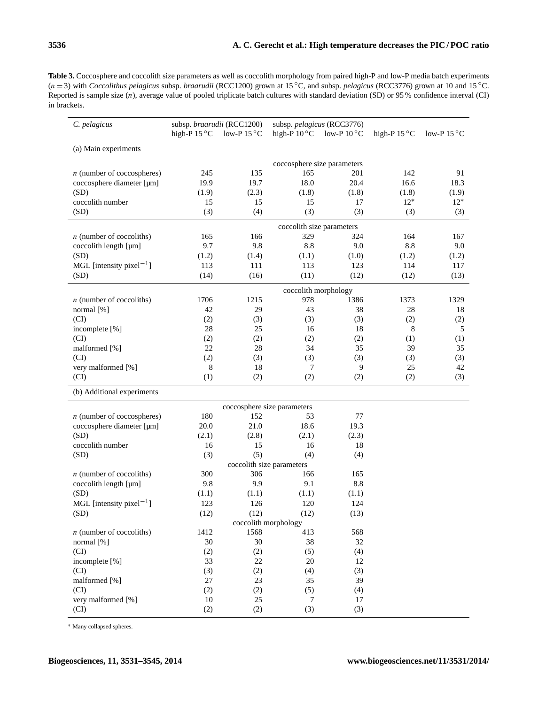**Table 3.** Coccosphere and coccolith size parameters as well as coccolith morphology from paired high-P and low-P media batch experiments (n = 3) with *Coccolithus pelagicus* subsp. *braarudii* (RCC1200) grown at 15 ◦C, and subsp. *pelagicus* (RCC3776) grown at 10 and 15 ◦C. Reported is sample size (n), average value of pooled triplicate batch cultures with standard deviation (SD) or 95 % confidence interval (CI) in brackets.

| C. pelagicus                         | subsp. braarudii (RCC1200)<br>high-P $15^{\circ}$ C | low-P $15^{\circ}$ C | subsp. pelagicus (RCC3776)<br>high-P $10^{\circ}$ C | low-P $10^{\circ}$ C | high-P $15^{\circ}$ C | low-P $15^{\circ}$ C |  |  |  |  |
|--------------------------------------|-----------------------------------------------------|----------------------|-----------------------------------------------------|----------------------|-----------------------|----------------------|--|--|--|--|
| (a) Main experiments                 |                                                     |                      |                                                     |                      |                       |                      |  |  |  |  |
|                                      | coccosphere size parameters                         |                      |                                                     |                      |                       |                      |  |  |  |  |
| $n$ (number of coccospheres)         | 245                                                 | 135                  | 165                                                 | 201                  | 142                   | 91                   |  |  |  |  |
| coccosphere diameter [µm]            | 19.9                                                | 19.7                 | 18.0                                                | 20.4                 | 16.6                  | 18.3                 |  |  |  |  |
| (SD)                                 | (1.9)                                               | (2.3)                | (1.8)                                               | (1.8)                | (1.8)                 | (1.9)                |  |  |  |  |
| coccolith number                     | 15                                                  | 15                   | 15                                                  | 17                   | $12*$                 | $12*$                |  |  |  |  |
| (SD)                                 | (3)                                                 | (4)                  | (3)                                                 | (3)                  | (3)                   | (3)                  |  |  |  |  |
|                                      | coccolith size parameters                           |                      |                                                     |                      |                       |                      |  |  |  |  |
| $n$ (number of coccoliths)           | 165                                                 | 166                  | 329                                                 | 324                  | 164                   | 167                  |  |  |  |  |
| coccolith length [µm]                | 9.7                                                 | 9.8                  | 8.8                                                 | 9.0                  | 8.8                   | 9.0                  |  |  |  |  |
| (SD)                                 | (1.2)                                               | (1.4)                | (1.1)                                               | (1.0)                | (1.2)                 | (1.2)                |  |  |  |  |
| MGL [intensity pixel <sup>-1</sup> ] | 113                                                 | 111                  | 113                                                 | 123                  | 114                   | 117                  |  |  |  |  |
| (SD)                                 | (14)                                                | (16)                 | (11)                                                | (12)                 | (12)                  | (13)                 |  |  |  |  |
|                                      |                                                     |                      |                                                     |                      |                       |                      |  |  |  |  |
| $n$ (number of coccoliths)           | 1706                                                | 1215                 | coccolith morphology<br>978                         | 1386                 | 1373                  | 1329                 |  |  |  |  |
| normal [%]                           | 42                                                  | 29                   | 43                                                  | 38                   | 28                    | 18                   |  |  |  |  |
| (CI)                                 | (2)                                                 | (3)                  | (3)                                                 | (3)                  | (2)                   | (2)                  |  |  |  |  |
| incomplete [%]                       | 28                                                  | 25                   | 16                                                  | 18                   | 8                     | 5                    |  |  |  |  |
| (CI)                                 | (2)                                                 | (2)                  | (2)                                                 | (2)                  | (1)                   | (1)                  |  |  |  |  |
| malformed [%]                        | 22                                                  | 28                   | 34                                                  | 35                   | 39                    | 35                   |  |  |  |  |
| (CI)                                 | (2)                                                 | (3)                  | (3)                                                 | (3)                  | (3)                   | (3)                  |  |  |  |  |
| very malformed [%]                   | 8                                                   | 18                   | 7                                                   | 9                    | 25                    | 42                   |  |  |  |  |
| (CI)                                 | (1)                                                 | (2)                  | (2)                                                 | (2)                  | (2)                   | (3)                  |  |  |  |  |
| (b) Additional experiments           |                                                     |                      |                                                     |                      |                       |                      |  |  |  |  |
|                                      |                                                     |                      | coccosphere size parameters                         |                      |                       |                      |  |  |  |  |
| $n$ (number of coccospheres)         | 180                                                 | 152                  | 53                                                  | 77                   |                       |                      |  |  |  |  |
| coccosphere diameter [µm]            | 20.0                                                | 21.0                 | 18.6                                                | 19.3                 |                       |                      |  |  |  |  |
| (SD)                                 | (2.1)                                               | (2.8)                | (2.1)                                               | (2.3)                |                       |                      |  |  |  |  |
| coccolith number                     | 16                                                  | 15                   | 16                                                  | 18                   |                       |                      |  |  |  |  |
| (SD)                                 | (3)                                                 | (5)                  | (4)                                                 | (4)                  |                       |                      |  |  |  |  |
|                                      |                                                     |                      | coccolith size parameters                           |                      |                       |                      |  |  |  |  |
| $n$ (number of coccoliths)           | 300                                                 | 306                  | 166                                                 | 165                  |                       |                      |  |  |  |  |
| coccolith length [µm]                | 9.8                                                 | 9.9                  | 9.1                                                 | 8.8                  |                       |                      |  |  |  |  |
| (SD)                                 | (1.1)                                               | (1.1)                | (1.1)                                               | (1.1)                |                       |                      |  |  |  |  |
| MGL [intensity pixel <sup>-1</sup> ] | 123                                                 | 126                  | 120                                                 | 124                  |                       |                      |  |  |  |  |
| (SD)                                 | (12)                                                | (12)                 | (12)                                                | (13)                 |                       |                      |  |  |  |  |
|                                      |                                                     |                      | coccolith morphology                                |                      |                       |                      |  |  |  |  |
| $n$ (number of coccoliths)           | 1412                                                | 1568                 | 413                                                 | 568                  |                       |                      |  |  |  |  |
| normal [%]                           | 30                                                  | 30                   | 38                                                  | 32                   |                       |                      |  |  |  |  |
| (CI)                                 | (2)                                                 | (2)                  | (5)                                                 | (4)                  |                       |                      |  |  |  |  |
| incomplete [%]                       | 33                                                  | 22                   | 20                                                  | 12                   |                       |                      |  |  |  |  |
| (CI)                                 | (3)                                                 | (2)                  | (4)                                                 | (3)                  |                       |                      |  |  |  |  |
| malformed [%]                        | 27                                                  | 23                   | 35                                                  | 39                   |                       |                      |  |  |  |  |
| (CI)                                 | (2)                                                 | (2)                  | (5)                                                 | (4)                  |                       |                      |  |  |  |  |
| very malformed [%]                   | 10                                                  | 25                   | $7\phantom{.0}$                                     | 17                   |                       |                      |  |  |  |  |
| (CI)                                 | (2)                                                 | (2)                  | (3)                                                 | (3)                  |                       |                      |  |  |  |  |

<sup>∗</sup> Many collapsed spheres.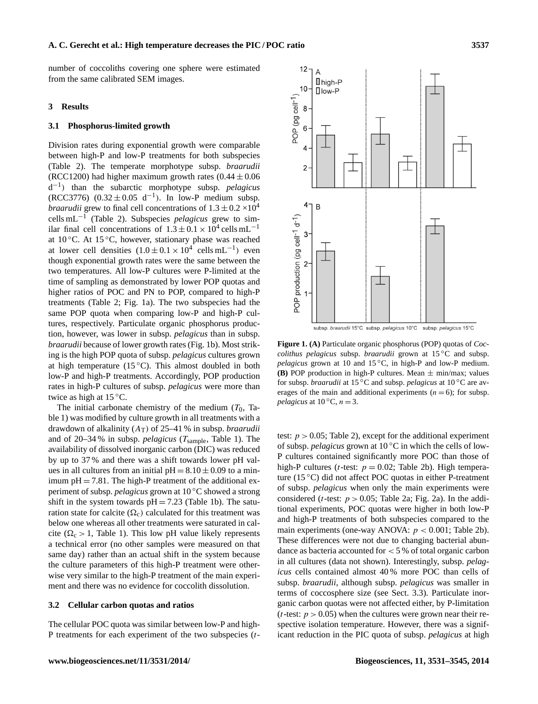number of coccoliths covering one sphere were estimated from the same calibrated SEM images.

#### **3 Results**

#### **3.1 Phosphorus-limited growth**

Division rates during exponential growth were comparable between high-P and low-P treatments for both subspecies (Table 2). The temperate morphotype subsp. *braarudii* (RCC1200) had higher maximum growth rates  $(0.44 \pm 0.06)$ d −1 ) than the subarctic morphotype subsp. *pelagicus* (RCC3776)  $(0.32 \pm 0.05 \text{ d}^{-1})$ . In low-P medium subsp. *braarudii* grew to final cell concentrations of  $1.3 \pm 0.2 \times 10^4$ cells mL−<sup>1</sup> (Table 2). Subspecies *pelagicus* grew to similar final cell concentrations of  $1.3 \pm 0.1 \times 10^4$  cells mL<sup>-1</sup> at  $10^{\circ}$ C. At  $15^{\circ}$ C, however, stationary phase was reached at lower cell densities  $(1.0 \pm 0.1 \times 10^4 \text{ cells mL}^{-1})$  even though exponential growth rates were the same between the two temperatures. All low-P cultures were P-limited at the time of sampling as demonstrated by lower POP quotas and higher ratios of POC and PN to POP, compared to high-P treatments (Table 2; Fig. 1a). The two subspecies had the same POP quota when comparing low-P and high-P cultures, respectively. Particulate organic phosphorus production, however, was lower in subsp. *pelagicus* than in subsp. *braarudii* because of lower growth rates (Fig. 1b). Most striking is the high POP quota of subsp. *pelagicus* cultures grown at high temperature  $(15^{\circ}C)$ . This almost doubled in both low-P and high-P treatments. Accordingly, POP production rates in high-P cultures of subsp. *pelagicus* were more than twice as high at  $15^{\circ}$ C.

The initial carbonate chemistry of the medium  $(T_0, T_a)$ ble 1) was modified by culture growth in all treatments with a drawdown of alkalinity (AT) of 25–41 % in subsp. *braarudii* and of 20–34 % in subsp. *pelagicus* (T<sub>sample</sub>, Table 1). The availability of dissolved inorganic carbon (DIC) was reduced by up to 37 % and there was a shift towards lower pH values in all cultures from an initial  $pH = 8.10 \pm 0.09$  to a minimum  $pH = 7.81$ . The high-P treatment of the additional experiment of subsp. *pelagicus* grown at 10 ◦C showed a strong shift in the system towards  $pH = 7.23$  (Table 1b). The saturation state for calcite  $(\Omega_c)$  calculated for this treatment was below one whereas all other treatments were saturated in calcite ( $\Omega_c > 1$ , Table 1). This low pH value likely represents a technical error (no other samples were measured on that same day) rather than an actual shift in the system because the culture parameters of this high-P treatment were otherwise very similar to the high-P treatment of the main experiment and there was no evidence for coccolith dissolution.

#### **3.2 Cellular carbon quotas and ratios**

The cellular POC quota was similar between low-P and high-P treatments for each experiment of the two subspecies (t-



**Figure 1. (A)** Particulate organic phosphorus (POP) quotas of *Coccolithus pelagicus* subsp. *braarudii* grown at 15 ◦C and subsp. *pelagicus* grown at 10 and 15 °C, in high-P and low-P medium. **(B)** POP production in high-P cultures. Mean  $\pm$  min/max; values for subsp. *braarudii* at 15 ◦C and subsp. *pelagicus* at 10 ◦C are averages of the main and additional experiments  $(n = 6)$ ; for subsp.

*pelagicus* at  $10^{\circ}$ C,  $n = 3$ .

test:  $p > 0.05$ ; Table 2), except for the additional experiment of subsp. *pelagicus* grown at 10 ◦C in which the cells of low-P cultures contained significantly more POC than those of high-P cultures (*t*-test:  $p = 0.02$ ; Table 2b). High temperature (15 ◦C) did not affect POC quotas in either P-treatment of subsp. *pelagicus* when only the main experiments were considered (*t*-test:  $p > 0.05$ ; Table 2a; Fig. 2a). In the additional experiments, POC quotas were higher in both low-P and high-P treatments of both subspecies compared to the main experiments (one-way ANOVA:  $p < 0.001$ ; Table 2b). These differences were not due to changing bacterial abundance as bacteria accounted for  $<$  5 % of total organic carbon in all cultures (data not shown). Interestingly, subsp. *pelagicus* cells contained almost 40 % more POC than cells of subsp. *braarudii*, although subsp. *pelagicus* was smaller in terms of coccosphere size (see Sect. 3.3). Particulate inorganic carbon quotas were not affected either, by P-limitation (*t*-test:  $p > 0.05$ ) when the cultures were grown near their respective isolation temperature. However, there was a significant reduction in the PIC quota of subsp. *pelagicus* at high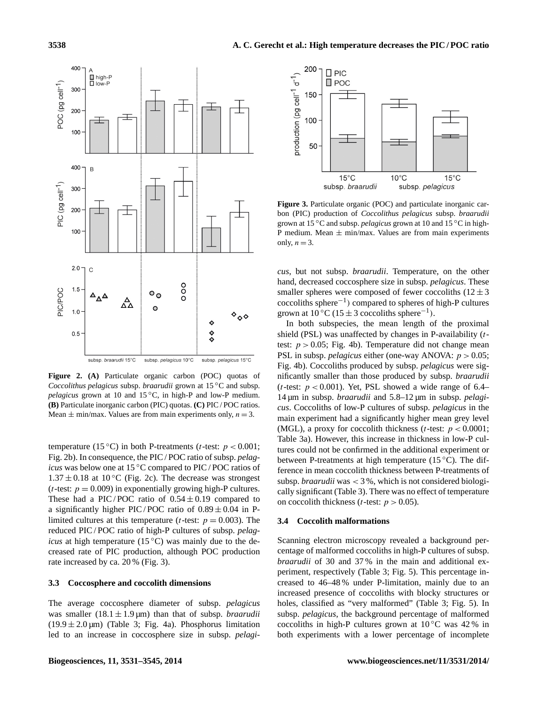

**Figure 2. (A)** Particulate organic carbon (POC) quotas of *Coccolithus pelagicus* subsp. *braarudii* grown at 15 ◦C and subsp. *pelagicus* grown at 10 and 15 °C, in high-P and low-P medium. **(B)** Particulate inorganic carbon (PIC) quotas. **(C)** PIC / POC ratios. Mean  $\pm$  min/max. Values are from main experiments only,  $n = 3$ .

temperature (15 °C) in both P-treatments (*t*-test:  $p < 0.001$ ; Fig. 2b). In consequence, the PIC / POC ratio of subsp. *pelagicus* was below one at 15 °C compared to PIC / POC ratios of  $1.37 \pm 0.18$  at 10 °C (Fig. 2c). The decrease was strongest (*t*-test:  $p = 0.009$ ) in exponentially growing high-P cultures. These had a PIC/POC ratio of  $0.54 \pm 0.19$  compared to a significantly higher PIC/POC ratio of  $0.89 \pm 0.04$  in Plimited cultures at this temperature (*t*-test:  $p = 0.003$ ). The reduced PIC / POC ratio of high-P cultures of subsp. *pelagicus* at high temperature (15 °C) was mainly due to the decreased rate of PIC production, although POC production rate increased by ca. 20 % (Fig. 3).

## **3.3 Coccosphere and coccolith dimensions**

The average coccosphere diameter of subsp. *pelagicus* was smaller  $(18.1 \pm 1.9 \,\text{\mu m})$  than that of subsp. *braarudii*  $(19.9 \pm 2.0 \,\text{\mu m})$  (Table 3; Fig. 4a). Phosphorus limitation led to an increase in coccosphere size in subsp. *pelagi-*



**Figure 3.** Particulate organic (POC) and particulate inorganic carbon (PIC) production of *Coccolithus pelagicus* subsp. *braarudii* grown at 15 ◦C and subsp. *pelagicus* grown at 10 and 15 ◦C in high-P medium. Mean  $\pm$  min/max. Values are from main experiments only,  $n = 3$ .

*cus*, but not subsp. *braarudii*. Temperature, on the other hand, decreased coccosphere size in subsp. *pelagicus*. These smaller spheres were composed of fewer coccoliths  $(12 \pm 3)$ coccoliths sphere−<sup>1</sup> ) compared to spheres of high-P cultures grown at  $10^{\circ}$ C (15 ± 3 coccoliths sphere<sup>-1</sup>).

In both subspecies, the mean length of the proximal shield (PSL) was unaffected by changes in P-availability (ttest:  $p > 0.05$ ; Fig. 4b). Temperature did not change mean PSL in subsp. *pelagicus* either (one-way ANOVA:  $p > 0.05$ ; Fig. 4b). Coccoliths produced by subsp. *pelagicus* were significantly smaller than those produced by subsp. *braarudii* (*t*-test:  $p < 0.001$ ). Yet, PSL showed a wide range of 6.4– 14 µm in subsp. *braarudii* and 5.8–12 µm in subsp. *pelagicus*. Coccoliths of low-P cultures of subsp. *pelagicus* in the main experiment had a significantly higher mean grey level (MGL), a proxy for coccolith thickness (*t*-test:  $p < 0.0001$ ; Table 3a). However, this increase in thickness in low-P cultures could not be confirmed in the additional experiment or between P-treatments at high temperature (15 ◦C). The difference in mean coccolith thickness between P-treatments of subsp. *braarudii* was < 3 %, which is not considered biologically significant (Table 3). There was no effect of temperature on coccolith thickness (*t*-test:  $p > 0.05$ ).

#### **3.4 Coccolith malformations**

Scanning electron microscopy revealed a background percentage of malformed coccoliths in high-P cultures of subsp. *braarudii* of 30 and 37 % in the main and additional experiment, respectively (Table 3; Fig. 5). This percentage increased to 46–48 % under P-limitation, mainly due to an increased presence of coccoliths with blocky structures or holes, classified as "very malformed" (Table 3; Fig. 5). In subsp. *pelagicus*, the background percentage of malformed coccoliths in high-P cultures grown at  $10\degree$ C was 42% in both experiments with a lower percentage of incomplete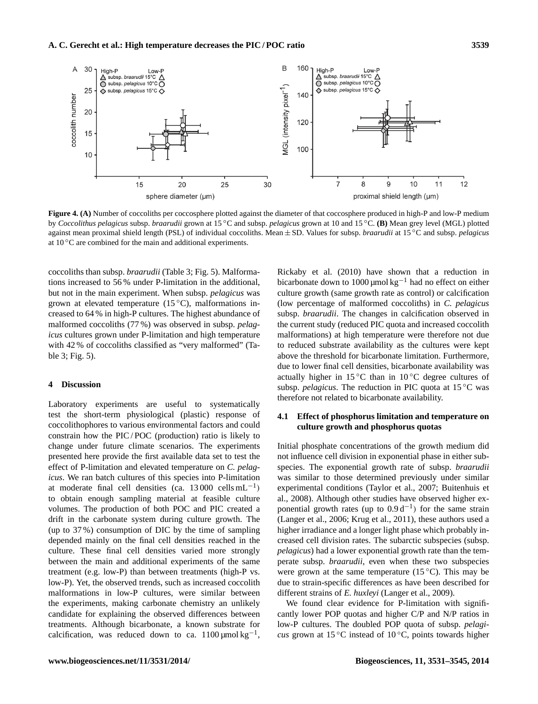

**Figure 4. (A)** Number of coccoliths per coccosphere plotted against the diameter of that coccosphere produced in high-P and low-P medium by *Coccolithus pelagicus* subsp. *braarudii* grown at 15 ◦C and subsp. *pelagicus* grown at 10 and 15 ◦C. **(B)** Mean grey level (MGL) plotted against mean proximal shield length (PSL) of individual coccoliths. Mean ± SD. Values for subsp. *braarudii* at 15 ◦C and subsp. *pelagicus* at  $10^{\circ}$ C are combined for the main and additional experiments.

coccoliths than subsp. *braarudii* (Table 3; Fig. 5). Malformations increased to 56 % under P-limitation in the additional, but not in the main experiment. When subsp. *pelagicus* was grown at elevated temperature  $(15\degree C)$ , malformations increased to 64 % in high-P cultures. The highest abundance of malformed coccoliths (77 %) was observed in subsp. *pelagicus* cultures grown under P-limitation and high temperature with 42 % of coccoliths classified as "very malformed" (Table 3; Fig. 5).

#### **4 Discussion**

Laboratory experiments are useful to systematically test the short-term physiological (plastic) response of coccolithophores to various environmental factors and could constrain how the PIC / POC (production) ratio is likely to change under future climate scenarios. The experiments presented here provide the first available data set to test the effect of P-limitation and elevated temperature on *C. pelagicus*. We ran batch cultures of this species into P-limitation at moderate final cell densities (ca.  $13\,000$  cells mL<sup>-1</sup>) to obtain enough sampling material at feasible culture volumes. The production of both POC and PIC created a drift in the carbonate system during culture growth. The (up to 37 %) consumption of DIC by the time of sampling depended mainly on the final cell densities reached in the culture. These final cell densities varied more strongly between the main and additional experiments of the same treatment (e.g. low-P) than between treatments (high-P vs. low-P). Yet, the observed trends, such as increased coccolith malformations in low-P cultures, were similar between the experiments, making carbonate chemistry an unlikely candidate for explaining the observed differences between treatments. Although bicarbonate, a known substrate for calcification, was reduced down to ca.  $1100 \mu \text{mol kg}^{-1}$ ,

Rickaby et al. (2010) have shown that a reduction in bicarbonate down to 1000 µmol kg−<sup>1</sup> had no effect on either culture growth (same growth rate as control) or calcification (low percentage of malformed coccoliths) in *C. pelagicus* subsp. *braarudii*. The changes in calcification observed in the current study (reduced PIC quota and increased coccolith malformations) at high temperature were therefore not due to reduced substrate availability as the cultures were kept above the threshold for bicarbonate limitation. Furthermore, due to lower final cell densities, bicarbonate availability was actually higher in 15 °C than in 10 °C degree cultures of subsp. *pelagicus*. The reduction in PIC quota at 15 ◦C was therefore not related to bicarbonate availability.

# **4.1 Effect of phosphorus limitation and temperature on culture growth and phosphorus quotas**

Initial phosphate concentrations of the growth medium did not influence cell division in exponential phase in either subspecies. The exponential growth rate of subsp. *braarudii* was similar to those determined previously under similar experimental conditions (Taylor et al., 2007; Buitenhuis et al., 2008). Although other studies have observed higher exponential growth rates (up to  $0.9 d^{-1}$ ) for the same strain (Langer et al., 2006; Krug et al., 2011), these authors used a higher irradiance and a longer light phase which probably increased cell division rates. The subarctic subspecies (subsp. *pelagicus*) had a lower exponential growth rate than the temperate subsp. *braarudii*, even when these two subspecies were grown at the same temperature  $(15\degree C)$ . This may be due to strain-specific differences as have been described for different strains of *E. huxleyi* (Langer et al., 2009).

We found clear evidence for P-limitation with significantly lower POP quotas and higher C/P and N/P ratios in low-P cultures. The doubled POP quota of subsp. *pelagicus* grown at 15 °C instead of 10 °C, points towards higher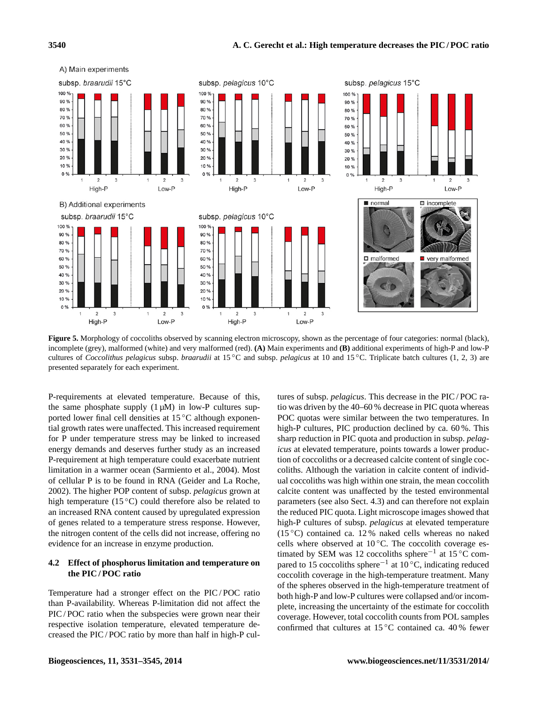

**Figure 5.** Morphology of coccoliths observed by scanning electron microscopy, shown as the percentage of four categories: normal (black), incomplete (grey), malformed (white) and very malformed (red). **(A)** Main experiments and **(B)** additional experiments of high-P and low-P cultures of *Coccolithus pelagicus* subsp. *braarudii* at 15 ◦C and subsp. *pelagicus* at 10 and 15 ◦C. Triplicate batch cultures (1, 2, 3) are presented separately for each experiment.

P-requirements at elevated temperature. Because of this, the same phosphate supply  $(1 \mu M)$  in low-P cultures supported lower final cell densities at 15 ◦C although exponential growth rates were unaffected. This increased requirement for P under temperature stress may be linked to increased energy demands and deserves further study as an increased P-requirement at high temperature could exacerbate nutrient limitation in a warmer ocean (Sarmiento et al., 2004). Most of cellular P is to be found in RNA (Geider and La Roche, 2002). The higher POP content of subsp. *pelagicus* grown at high temperature (15 °C) could therefore also be related to an increased RNA content caused by upregulated expression of genes related to a temperature stress response. However, the nitrogen content of the cells did not increase, offering no evidence for an increase in enzyme production.

# **4.2 Effect of phosphorus limitation and temperature on the PIC / POC ratio**

Temperature had a stronger effect on the PIC / POC ratio than P-availability. Whereas P-limitation did not affect the PIC / POC ratio when the subspecies were grown near their respective isolation temperature, elevated temperature decreased the PIC / POC ratio by more than half in high-P cultures of subsp. *pelagicus*. This decrease in the PIC / POC ratio was driven by the 40–60 % decrease in PIC quota whereas POC quotas were similar between the two temperatures. In high-P cultures, PIC production declined by ca. 60%. This sharp reduction in PIC quota and production in subsp. *pelagicus* at elevated temperature, points towards a lower production of coccoliths or a decreased calcite content of single coccoliths. Although the variation in calcite content of individual coccoliths was high within one strain, the mean coccolith calcite content was unaffected by the tested environmental parameters (see also Sect. 4.3) and can therefore not explain the reduced PIC quota. Light microscope images showed that high-P cultures of subsp. *pelagicus* at elevated temperature (15 $\degree$ C) contained ca. 12% naked cells whereas no naked cells where observed at 10 ℃. The coccolith coverage estimated by SEM was 12 coccoliths sphere−<sup>1</sup> at 15 ◦C compared to 15 coccoliths sphere<sup>-1</sup> at 10<sup>°</sup>C, indicating reduced coccolith coverage in the high-temperature treatment. Many of the spheres observed in the high-temperature treatment of both high-P and low-P cultures were collapsed and/or incomplete, increasing the uncertainty of the estimate for coccolith coverage. However, total coccolith counts from POL samples confirmed that cultures at  $15\,^{\circ}\text{C}$  contained ca. 40% fewer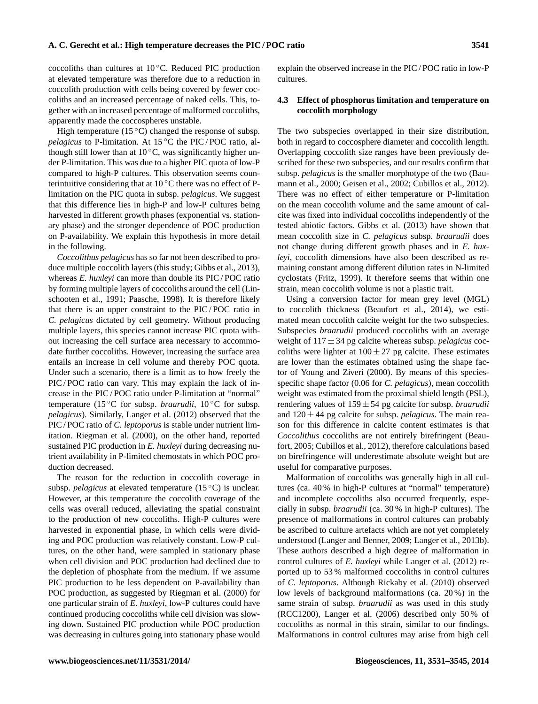coccoliths than cultures at 10 ◦C. Reduced PIC production at elevated temperature was therefore due to a reduction in coccolith production with cells being covered by fewer coccoliths and an increased percentage of naked cells. This, together with an increased percentage of malformed coccoliths, apparently made the coccospheres unstable.

High temperature (15 $\degree$ C) changed the response of subsp. *pelagicus* to P-limitation. At 15 °C the PIC/POC ratio, although still lower than at  $10^{\circ}$ C, was significantly higher under P-limitation. This was due to a higher PIC quota of low-P compared to high-P cultures. This observation seems counterintuitive considering that at  $10^{\circ}$ C there was no effect of Plimitation on the PIC quota in subsp. *pelagicus*. We suggest that this difference lies in high-P and low-P cultures being harvested in different growth phases (exponential vs. stationary phase) and the stronger dependence of POC production on P-availability. We explain this hypothesis in more detail in the following.

*Coccolithus pelagicus* has so far not been described to produce multiple coccolith layers (this study; Gibbs et al., 2013), whereas *E. huxleyi* can more than double its PIC / POC ratio by forming multiple layers of coccoliths around the cell (Linschooten et al., 1991; Paasche, 1998). It is therefore likely that there is an upper constraint to the PIC / POC ratio in *C. pelagicus* dictated by cell geometry. Without producing multiple layers, this species cannot increase PIC quota without increasing the cell surface area necessary to accommodate further coccoliths. However, increasing the surface area entails an increase in cell volume and thereby POC quota. Under such a scenario, there is a limit as to how freely the PIC / POC ratio can vary. This may explain the lack of increase in the PIC / POC ratio under P-limitation at "normal" temperature (15 ◦C for subsp. *braarudii*, 10 ◦C for subsp. *pelagicus*). Similarly, Langer et al. (2012) observed that the PIC / POC ratio of *C. leptoporus* is stable under nutrient limitation. Riegman et al. (2000), on the other hand, reported sustained PIC production in *E. huxleyi* during decreasing nutrient availability in P-limited chemostats in which POC production decreased.

The reason for the reduction in coccolith coverage in subsp. *pelagicus* at elevated temperature (15 °C) is unclear. However, at this temperature the coccolith coverage of the cells was overall reduced, alleviating the spatial constraint to the production of new coccoliths. High-P cultures were harvested in exponential phase, in which cells were dividing and POC production was relatively constant. Low-P cultures, on the other hand, were sampled in stationary phase when cell division and POC production had declined due to the depletion of phosphate from the medium. If we assume PIC production to be less dependent on P-availability than POC production, as suggested by Riegman et al. (2000) for one particular strain of *E. huxleyi*, low-P cultures could have continued producing coccoliths while cell division was slowing down. Sustained PIC production while POC production was decreasing in cultures going into stationary phase would explain the observed increase in the PIC / POC ratio in low-P cultures.

### **4.3 Effect of phosphorus limitation and temperature on coccolith morphology**

The two subspecies overlapped in their size distribution, both in regard to coccosphere diameter and coccolith length. Overlapping coccolith size ranges have been previously described for these two subspecies, and our results confirm that subsp. *pelagicus* is the smaller morphotype of the two (Baumann et al., 2000; Geisen et al., 2002; Cubillos et al., 2012). There was no effect of either temperature or P-limitation on the mean coccolith volume and the same amount of calcite was fixed into individual coccoliths independently of the tested abiotic factors. Gibbs et al. (2013) have shown that mean coccolith size in *C. pelagicus* subsp. *braarudii* does not change during different growth phases and in *E. huxleyi*, coccolith dimensions have also been described as remaining constant among different dilution rates in N-limited cyclostats (Fritz, 1999). It therefore seems that within one strain, mean coccolith volume is not a plastic trait.

Using a conversion factor for mean grey level (MGL) to coccolith thickness (Beaufort et al., 2014), we estimated mean coccolith calcite weight for the two subspecies. Subspecies *braarudii* produced coccoliths with an average weight of 117 ± 34 pg calcite whereas subsp. *pelagicus* coccoliths were lighter at  $100 \pm 27$  pg calcite. These estimates are lower than the estimates obtained using the shape factor of Young and Ziveri (2000). By means of this speciesspecific shape factor (0.06 for *C. pelagicus*), mean coccolith weight was estimated from the proximal shield length (PSL), rendering values of 159 ± 54 pg calcite for subsp. *braarudii* and  $120 \pm 44$  pg calcite for subsp. *pelagicus*. The main reason for this difference in calcite content estimates is that *Coccolithus* coccoliths are not entirely birefringent (Beaufort, 2005; Cubillos et al., 2012), therefore calculations based on birefringence will underestimate absolute weight but are useful for comparative purposes.

Malformation of coccoliths was generally high in all cultures (ca. 40 % in high-P cultures at "normal" temperature) and incomplete coccoliths also occurred frequently, especially in subsp. *braarudii* (ca. 30 % in high-P cultures). The presence of malformations in control cultures can probably be ascribed to culture artefacts which are not yet completely understood (Langer and Benner, 2009; Langer et al., 2013b). These authors described a high degree of malformation in control cultures of *E. huxleyi* while Langer et al. (2012) reported up to 53 % malformed coccoliths in control cultures of *C. leptoporus*. Although Rickaby et al. (2010) observed low levels of background malformations (ca. 20 %) in the same strain of subsp. *braarudii* as was used in this study (RCC1200), Langer et al. (2006) described only 50 % of coccoliths as normal in this strain, similar to our findings. Malformations in control cultures may arise from high cell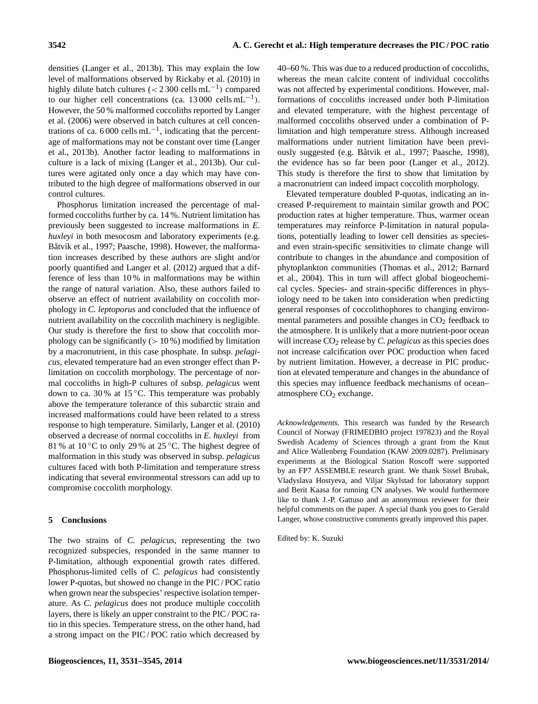densities (Langer et al., 2013b). This may explain the low level of malformations observed by Rickaby et al. (2010) in highly dilute batch cultures  $\left($  < 2 300 cells mL<sup>-1</sup>) compared to our higher cell concentrations (ca.  $13\,000$  cells mL<sup>-1</sup>). However, the 50 % malformed coccoliths reported by Langer et al. (2006) were observed in batch cultures at cell concentrations of ca. 6000 cells  $mL^{-1}$ , indicating that the percentage of malformations may not be constant over time (Langer et al., 2013b). Another factor leading to malformations in culture is a lack of mixing (Langer et al., 2013b). Our cultures were agitated only once a day which may have contributed to the high degree of malformations observed in our control cultures.

Phosphorus limitation increased the percentage of malformed coccoliths further by ca. 14 %. Nutrient limitation has previously been suggested to increase malformations in *E. huxleyi* in both mesocosm and laboratory experiments (e.g. Båtvik et al., 1997; Paasche, 1998). However, the malformation increases described by these authors are slight and/or poorly quantified and Langer et al. (2012) argued that a difference of less than 10 % in malformations may be within the range of natural variation. Also, these authors failed to observe an effect of nutrient availability on coccolith morphology in *C. leptoporus* and concluded that the influence of nutrient availability on the coccolith machinery is negligible. Our study is therefore the first to show that coccolith morphology can be significantly  $(> 10\%)$  modified by limitation by a macronutrient, in this case phosphate. In subsp. *pelagicus*, elevated temperature had an even stronger effect than Plimitation on coccolith morphology. The percentage of normal coccoliths in high-P cultures of subsp. *pelagicus* went down to ca. 30 % at 15 ◦C. This temperature was probably above the temperature tolerance of this subarctic strain and increased malformations could have been related to a stress response to high temperature. Similarly, Langer et al. (2010) observed a decrease of normal coccoliths in *E. huxleyi* from 81 % at 10 °C to only 29 % at 25 °C. The highest degree of malformation in this study was observed in subsp. *pelagicus* cultures faced with both P-limitation and temperature stress indicating that several environmental stressors can add up to compromise coccolith morphology.

#### **5 Conclusions**

The two strains of *C. pelagicus*, representing the two recognized subspecies, responded in the same manner to P-limitation, although exponential growth rates differed. Phosphorus-limited cells of *C. pelagicus* had consistently lower P-quotas, but showed no change in the PIC / POC ratio when grown near the subspecies' respective isolation temperature. As *C. pelagicus* does not produce multiple coccolith layers, there is likely an upper constraint to the PIC / POC ratio in this species. Temperature stress, on the other hand, had a strong impact on the PIC / POC ratio which decreased by 40–60 %. This was due to a reduced production of coccoliths, whereas the mean calcite content of individual coccoliths was not affected by experimental conditions. However, malformations of coccoliths increased under both P-limitation and elevated temperature, with the highest percentage of malformed coccoliths observed under a combination of Plimitation and high temperature stress. Although increased malformations under nutrient limitation have been previously suggested (e.g. Båtvik et al., 1997; Paasche, 1998), the evidence has so far been poor (Langer et al., 2012). This study is therefore the first to show that limitation by a macronutrient can indeed impact coccolith morphology.

Elevated temperature doubled P-quotas, indicating an increased P-requirement to maintain similar growth and POC production rates at higher temperature. Thus, warmer ocean temperatures may reinforce P-limitation in natural populations, potentially leading to lower cell densities as speciesand even strain-specific sensitivities to climate change will contribute to changes in the abundance and composition of phytoplankton communities (Thomas et al., 2012; Barnard et al., 2004). This in turn will affect global biogeochemical cycles. Species- and strain-specific differences in physiology need to be taken into consideration when predicting general responses of coccolithophores to changing environmental parameters and possible changes in  $CO<sub>2</sub>$  feedback to the atmosphere. It is unlikely that a more nutrient-poor ocean will increase CO<sub>2</sub> release by *C. pelagicus* as this species does not increase calcification over POC production when faced by nutrient limitation. However, a decrease in PIC production at elevated temperature and changes in the abundance of this species may influence feedback mechanisms of ocean– atmosphere  $CO<sub>2</sub>$  exchange.

*Acknowledgements.* This research was funded by the Research Council of Norway (FRIMEDBIO project 197823) and the Royal Swedish Academy of Sciences through a grant from the Knut and Alice Wallenberg Foundation (KAW 2009.0287). Preliminary experiments at the Biological Station Roscoff were supported by an FP7 ASSEMBLE research grant. We thank Sissel Brubak, Vladyslava Hostyeva, and Viljar Skylstad for laboratory support and Berit Kaasa for running CN analyses. We would furthermore like to thank J.-P. Gattuso and an anonymous reviewer for their helpful comments on the paper. A special thank you goes to Gerald Langer, whose constructive comments greatly improved this paper.

Edited by: K. Suzuki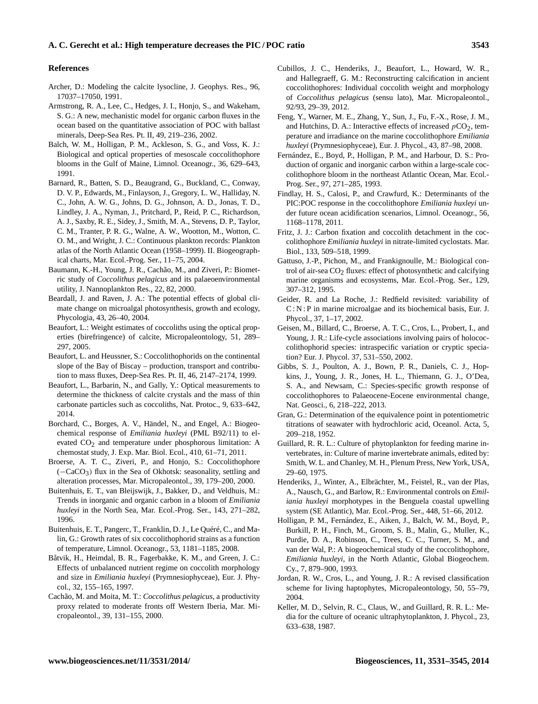#### **References**

- Archer, D.: Modeling the calcite lysocline, J. Geophys. Res., 96, 17037–17050, 1991.
- Armstrong, R. A., Lee, C., Hedges, J. I., Honjo, S., and Wakeham, S. G.: A new, mechanistic model for organic carbon fluxes in the ocean based on the quantitative association of POC with ballast minerals, Deep-Sea Res. Pt. II, 49, 219–236, 2002.
- Balch, W. M., Holligan, P. M., Ackleson, S. G., and Voss, K. J.: Biological and optical properties of mesoscale coccolithophore blooms in the Gulf of Maine, Limnol. Oceanogr., 36, 629–643, 1991.
- Barnard, R., Batten, S. D., Beaugrand, G., Buckland, C., Conway, D. V. P., Edwards, M., Finlayson, J., Gregory, L. W., Halliday, N. C., John, A. W. G., Johns, D. G., Johnson, A. D., Jonas, T. D., Lindley, J. A., Nyman, J., Pritchard, P., Reid, P. C., Richardson, A. J., Saxby, R. E., Sidey, J., Smith, M. A., Stevens, D. P., Taylor, C. M., Tranter, P. R. G., Walne, A. W., Wootton, M., Wotton, C. O. M., and Wright, J. C.: Continuous plankton records: Plankton atlas of the North Atlantic Ocean (1958–1999). II. Biogeographical charts, Mar. Ecol.-Prog. Ser., 11–75, 2004.
- Baumann, K.-H., Young, J. R., Cachão, M., and Ziveri, P.: Biometric study of *Coccolithus pelagicus* and its palaeoenvironmental utility, J. Nannoplankton Res., 22, 82, 2000.
- Beardall, J. and Raven, J. A.: The potential effects of global climate change on microalgal photosynthesis, growth and ecology, Phycologia, 43, 26–40, 2004.
- Beaufort, L.: Weight estimates of coccoliths using the optical properties (birefringence) of calcite, Micropaleontology, 51, 289– 297, 2005.
- Beaufort, L. and Heussner, S.: Coccolithophorids on the continental slope of the Bay of Biscay – production, transport and contribution to mass fluxes, Deep-Sea Res. Pt. II, 46, 2147–2174, 1999.
- Beaufort, L., Barbarin, N., and Gally, Y.: Optical measurements to determine the thickness of calcite crystals and the mass of thin carbonate particles such as coccoliths, Nat. Protoc., 9, 633–642, 2014.
- Borchard, C., Borges, A. V., Händel, N., and Engel, A.: Biogeochemical response of *Emiliania huxleyi* (PML B92/11) to elevated CO<sub>2</sub> and temperature under phosphorous limitation: A chemostat study, J. Exp. Mar. Biol. Ecol., 410, 61–71, 2011.
- Broerse, A. T. C., Ziveri, P., and Honjo, S.: Coccolithophore (−CaCO3) flux in the Sea of Okhotsk: seasonality, settling and alteration processes, Mar. Micropaleontol., 39, 179–200, 2000.
- Buitenhuis, E. T., van Bleijswijk, J., Bakker, D., and Veldhuis, M.: Trends in inorganic and organic carbon in a bloom of *Emiliania huxleyi* in the North Sea, Mar. Ecol.-Prog. Ser., 143, 271–282, 1996.
- Buitenhuis, E. T., Pangerc, T., Franklin, D. J., Le Quéré, C., and Malin, G.: Growth rates of six coccolithophorid strains as a function of temperature, Limnol. Oceanogr., 53, 1181–1185, 2008.
- Båtvik, H., Heimdal, B. R., Fagerbakke, K. M., and Green, J. C.: Effects of unbalanced nutrient regime on coccolith morphology and size in *Emiliania huxleyi* (Prymnesiophyceae), Eur. J. Phycol., 32, 155–165, 1997.
- Cachão, M. and Moita, M. T.: *Coccolithus pelagicus*, a productivity proxy related to moderate fronts off Western Iberia, Mar. Micropaleontol., 39, 131–155, 2000.
- Cubillos, J. C., Henderiks, J., Beaufort, L., Howard, W. R., and Hallegraeff, G. M.: Reconstructing calcification in ancient coccolithophores: Individual coccolith weight and morphology of *Coccolithus pelagicus* (sensu lato), Mar. Micropaleontol., 92/93, 29–39, 2012.
- Feng, Y., Warner, M. E., Zhang, Y., Sun, J., Fu, F.-X., Rose, J. M., and Hutchins, D. A.: Interactive effects of increased  $pCO<sub>2</sub>$ , temperature and irradiance on the marine coccolithophore *Emiliania huxleyi* (Prymnesiophyceae), Eur. J. Phycol., 43, 87–98, 2008.
- Fernández, E., Boyd, P., Holligan, P. M., and Harbour, D. S.: Production of organic and inorganic carbon within a large-scale coccolithophore bloom in the northeast Atlantic Ocean, Mar. Ecol.- Prog. Ser., 97, 271–285, 1993.
- Findlay, H. S., Calosi, P., and Crawfurd, K.: Determinants of the PIC:POC response in the coccolithophore *Emiliania huxleyi* under future ocean acidification scenarios, Limnol. Oceanogr., 56, 1168–1178, 2011.
- Fritz, J. J.: Carbon fixation and coccolith detachment in the coccolithophore *Emiliania huxleyi* in nitrate-limited cyclostats. Mar. Biol., 133, 509–518, 1999.
- Gattuso, J.-P., Pichon, M., and Frankignoulle, M.: Biological control of air-sea CO<sub>2</sub> fluxes: effect of photosynthetic and calcifying marine organisms and ecosystems, Mar. Ecol.-Prog. Ser., 129, 307–312, 1995.
- Geider, R. and La Roche, J.: Redfield revisited: variability of C : N : P in marine microalgae and its biochemical basis, Eur. J. Phycol., 37, 1–17, 2002.
- Geisen, M., Billard, C., Broerse, A. T. C., Cros, L., Probert, I., and Young, J. R.: Life-cycle associations involving pairs of holococcolithophorid species: intraspecific variation or cryptic speciation? Eur. J. Phycol. 37, 531–550, 2002.
- Gibbs, S. J., Poulton, A. J., Bown, P. R., Daniels, C. J., Hopkins, J., Young, J. R., Jones, H. L., Thiemann, G. J., O'Dea, S. A., and Newsam, C.: Species-specific growth response of coccolithophores to Palaeocene-Eocene environmental change, Nat. Geosci., 6, 218–222, 2013.
- Gran, G.: Determination of the equivalence point in potentiometric titrations of seawater with hydrochloric acid, Oceanol. Acta, 5, 209–218, 1952.
- Guillard, R. R. L.: Culture of phytoplankton for feeding marine invertebrates, in: Culture of marine invertebrate animals, edited by: Smith, W. L. and Chanley, M. H., Plenum Press, New York, USA, 29–60, 1975.
- Henderiks, J., Winter, A., Elbrächter, M., Feistel, R., van der Plas, A., Nausch, G., and Barlow, R.: Environmental controls on *Emiliania huxleyi* morphotypes in the Benguela coastal upwelling system (SE Atlantic), Mar. Ecol.-Prog. Ser., 448, 51–66, 2012.
- Holligan, P. M., Fernández, E., Aiken, J., Balch, W. M., Boyd, P., Burkill, P. H., Finch, M., Groom, S. B., Malin, G., Muller, K., Purdie, D. A., Robinson, C., Trees, C. C., Turner, S. M., and van der Wal, P.: A biogeochemical study of the coccolithophore, *Emiliania huxleyi*, in the North Atlantic, Global Biogeochem. Cy., 7, 879–900, 1993.
- Jordan, R. W., Cros, L., and Young, J. R.: A revised classification scheme for living haptophytes, Micropaleontology, 50, 55–79, 2004.
- Keller, M. D., Selvin, R. C., Claus, W., and Guillard, R. R. L.: Media for the culture of oceanic ultraphytoplankton, J. Phycol., 23, 633–638, 1987.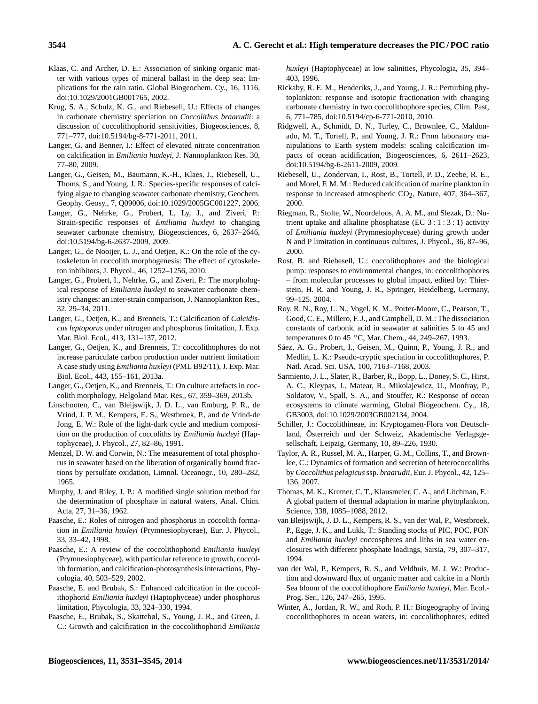- Klaas, C. and Archer, D. E.: Association of sinking organic matter with various types of mineral ballast in the deep sea: Implications for the rain ratio. Global Biogeochem. Cy., 16, 1116, doi[:10.1029/2001GB001765,](http://dx.doi.org/10.1029/2001GB001765) 2002.
- Krug, S. A., Schulz, K. G., and Riebesell, U.: Effects of changes in carbonate chemistry speciation on *Coccolithus braarudii*: a discussion of coccolithophorid sensitivities, Biogeosciences, 8, 771–777, doi:10.5194/bg-8-771-2011, 2011.
- Langer, G. and Benner, I.: Effect of elevated nitrate concentration on calcification in *Emiliania huxleyi*, J. Nannoplankton Res. 30, 77–80, 2009.
- Langer, G., Geisen, M., Baumann, K.-H., Klaes, J., Riebesell, U., Thoms, S., and Young, J. R.: Species-specific responses of calcifying algae to changing seawater carbonate chemistry, Geochem. Geophy. Geosy., 7, Q09006, doi:10.1029/2005GC001227, 2006.
- Langer, G., Nehrke, G., Probert, I., Ly, J., and Ziveri, P.: Strain-specific responses of *Emiliania huxleyi* to changing seawater carbonate chemistry, Biogeosciences, 6, 2637–2646, doi:10.5194/bg-6-2637-2009, 2009.
- Langer, G., de Nooijer, L. J., and Oetjen, K.: On the role of the cytoskeleton in coccolith morphogenesis: The effect of cytoskeleton inhibitors, J. Phycol., 46, 1252–1256, 2010.
- Langer, G., Probert, I., Nehrke, G., and Ziveri, P.: The morphological response of *Emiliania huxleyi* to seawater carbonate chemistry changes: an inter-strain comparison, J. Nannoplankton Res., 32, 29–34, 2011.
- Langer, G., Oetjen, K., and Brenneis, T.: Calcification of *Calcidiscus leptoporus* under nitrogen and phosphorus limitation, J. Exp. Mar. Biol. Ecol., 413, 131–137, 2012.
- Langer, G., Oetjen, K., and Brenneis, T.: coccolithophores do not increase particulate carbon production under nutrient limitation: A case study using *Emiliania huxleyi* (PML B92/11), J. Exp. Mar. Biol. Ecol., 443, 155–161, 2013a.
- Langer, G., Oetjen, K., and Brenneis, T.: On culture artefacts in coccolith morphology, Helgoland Mar. Res., 67, 359–369, 2013b.
- Linschooten, C., van Bleijswijk, J. D. L., van Emburg, P. R., de Vrind, J. P. M., Kempers, E. S., Westbroek, P., and de Vrind-de Jong, E. W.: Role of the light-dark cycle and medium composition on the production of coccoliths by *Emiliania huxleyi* (Haptophyceae), J. Phycol., 27, 82–86, 1991.
- Menzel, D. W. and Corwin, N.: The measurement of total phosphorus in seawater based on the liberation of organically bound fractions by persulfate oxidation, Limnol. Oceanogr., 10, 280–282, 1965.
- Murphy, J. and Riley, J. P.: A modified single solution method for the determination of phosphate in natural waters, Anal. Chim. Acta, 27, 31–36, 1962.
- Paasche, E.: Roles of nitrogen and phosphorus in coccolith formation in *Emiliania huxleyi* (Prymnesiophyceae), Eur. J. Phycol., 33, 33–42, 1998.
- Paasche, E.: A review of the coccolithophorid *Emiliania huxleyi* (Prymnesiophyceae), with particular reference to growth, coccolith formation, and calcification-photosynthesis interactions, Phycologia, 40, 503–529, 2002.
- Paasche, E. and Brubak, S.: Enhanced calcification in the coccolithophorid *Emiliania huxleyi* (Haptophyceae) under phosphorus limitation, Phycologia, 33, 324–330, 1994.
- Paasche, E., Brubak, S., Skattebøl, S., Young, J. R., and Green, J. C.: Growth and calcification in the coccolithophorid *Emiliania*

*huxleyi* (Haptophyceae) at low salinities, Phycologia, 35, 394– 403, 1996.

- Rickaby, R. E. M., Henderiks, J., and Young, J. R.: Perturbing phytoplankton: response and isotopic fractionation with changing carbonate chemistry in two coccolithophore species, Clim. Past, 6, 771–785, doi:10.5194/cp-6-771-2010, 2010.
- Ridgwell, A., Schmidt, D. N., Turley, C., Brownlee, C., Maldonado, M. T., Tortell, P., and Young, J. R.: From laboratory manipulations to Earth system models: scaling calcification impacts of ocean acidification, Biogeosciences, 6, 2611–2623, doi[:10.5194/bg-6-2611-2009,](http://dx.doi.org/10.5194/bg-6-2611-2009) 2009.
- Riebesell, U., Zondervan, I., Rost, B., Tortell, P. D., Zeebe, R. E., and Morel, F. M. M.: Reduced calcification of marine plankton in response to increased atmospheric  $CO<sub>2</sub>$ , Nature, 407, 364–367, 2000.
- Riegman, R., Stolte, W., Noordeloos, A. A. M., and Slezak, D.: Nutrient uptake and alkaline phosphatase (EC 3 : 1 : 3 : 1) activity of *Emiliania huxleyi* (Prymnesiophyceae) during growth under N and P limitation in continuous cultures, J. Phycol., 36, 87–96, 2000.
- Rost, B. and Riebesell, U.: coccolithophores and the biological pump: responses to environmental changes, in: coccolithophores – from molecular processes to global impact, edited by: Thierstein, H. R. and Young, J. R., Springer, Heidelberg, Germany, 99–125. 2004.
- Roy, R. N., Roy, L. N., Vogel, K. M., Porter-Moore, C., Pearson, T., Good, C. E., Millero, F. J., and Campbell, D. M.: The dissociation constants of carbonic acid in seawater at salinities 5 to 45 and temperatures 0 to 45 ◦C, Mar. Chem., 44, 249–267, 1993.
- Sáez, A. G., Probert, I., Geisen, M., Quinn, P., Young, J. R., and Medlin, L. K.: Pseudo-cryptic speciation in coccolithophores, P. Natl. Acad. Sci. USA, 100, 7163–7168, 2003.
- Sarmiento, J. L., Slater, R., Barber, R., Bopp, L., Doney, S. C., Hirst, A. C., Kleypas, J., Matear, R., Mikolajewicz, U., Monfray, P., Soldatov, V., Spall, S. A., and Stouffer, R.: Response of ocean ecosystems to climate warming, Global Biogeochem. Cy., 18, GB3003, doi[:10.1029/2003GB002134,](http://dx.doi.org/10.1029/2003GB002134) 2004.
- Schiller, J.: Coccolithineae, in: Kryptogamen-Flora von Deutschland, Österreich und der Schweiz, Akademische Verlagsgesellschaft, Leipzig, Germany, 10, 89–226, 1930.
- Taylor, A. R., Russel, M. A., Harper, G. M., Collins, T., and Brownlee, C.: Dynamics of formation and secretion of heterococcoliths by *Coccolithus pelagicus* ssp. *braarudii*, Eur. J. Phycol., 42, 125– 136, 2007.
- Thomas, M. K., Kremer, C. T., Klausmeier, C. A., and Litchman, E.: A global pattern of thermal adaptation in marine phytoplankton, Science, 338, 1085–1088, 2012.
- van Bleijswijk, J. D. L., Kempers, R. S., van der Wal, P., Westbroek, P., Egge, J. K., and Lukk, T.: Standing stocks of PIC, POC, PON and *Emiliania huxleyi* coccospheres and liths in sea water enclosures with different phosphate loadings, Sarsia, 79, 307–317, 1994.
- van der Wal, P., Kempers, R. S., and Veldhuis, M. J. W.: Production and downward flux of organic matter and calcite in a North Sea bloom of the coccolithophore *Emiliania huxleyi*, Mar. Ecol.- Prog. Ser., 126, 247–265, 1995.
- Winter, A., Jordan, R. W., and Roth, P. H.: Biogeography of living coccolithophores in ocean waters, in: coccolithophores, edited